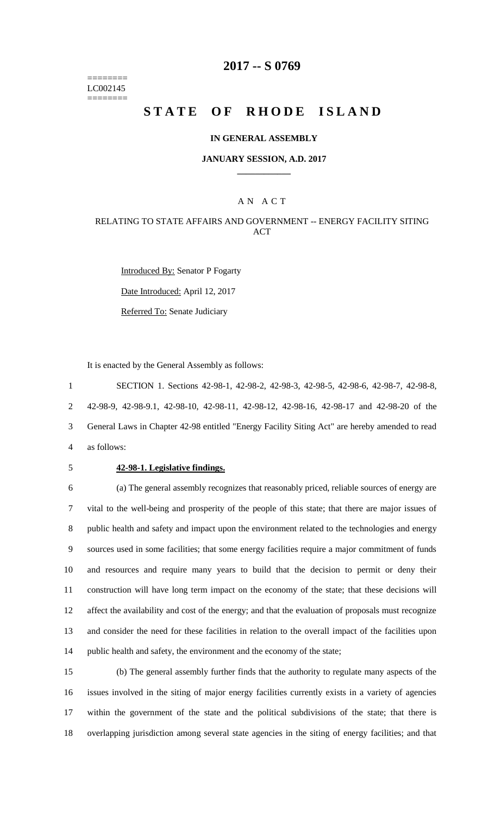======== LC002145 ========

## **2017 -- S 0769**

# **STATE OF RHODE ISLAND**

#### **IN GENERAL ASSEMBLY**

#### **JANUARY SESSION, A.D. 2017 \_\_\_\_\_\_\_\_\_\_\_\_**

### A N A C T

## RELATING TO STATE AFFAIRS AND GOVERNMENT -- ENERGY FACILITY SITING ACT

Introduced By: Senator P Fogarty Date Introduced: April 12, 2017 Referred To: Senate Judiciary

It is enacted by the General Assembly as follows:

 SECTION 1. Sections 42-98-1, 42-98-2, 42-98-3, 42-98-5, 42-98-6, 42-98-7, 42-98-8, 42-98-9, 42-98-9.1, 42-98-10, 42-98-11, 42-98-12, 42-98-16, 42-98-17 and 42-98-20 of the General Laws in Chapter 42-98 entitled "Energy Facility Siting Act" are hereby amended to read as follows:

#### 5 **42-98-1. Legislative findings.**

 (a) The general assembly recognizes that reasonably priced, reliable sources of energy are vital to the well-being and prosperity of the people of this state; that there are major issues of public health and safety and impact upon the environment related to the technologies and energy sources used in some facilities; that some energy facilities require a major commitment of funds and resources and require many years to build that the decision to permit or deny their construction will have long term impact on the economy of the state; that these decisions will affect the availability and cost of the energy; and that the evaluation of proposals must recognize and consider the need for these facilities in relation to the overall impact of the facilities upon public health and safety, the environment and the economy of the state;

 (b) The general assembly further finds that the authority to regulate many aspects of the issues involved in the siting of major energy facilities currently exists in a variety of agencies within the government of the state and the political subdivisions of the state; that there is overlapping jurisdiction among several state agencies in the siting of energy facilities; and that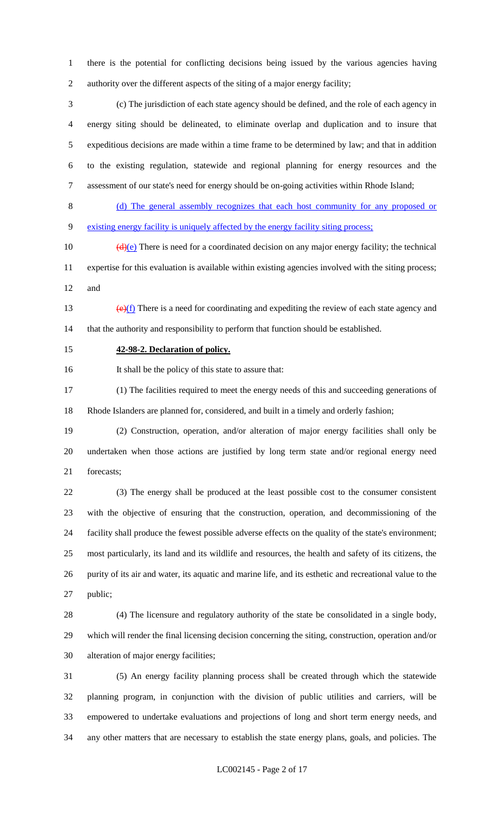there is the potential for conflicting decisions being issued by the various agencies having authority over the different aspects of the siting of a major energy facility;

 (c) The jurisdiction of each state agency should be defined, and the role of each agency in energy siting should be delineated, to eliminate overlap and duplication and to insure that expeditious decisions are made within a time frame to be determined by law; and that in addition to the existing regulation, statewide and regional planning for energy resources and the assessment of our state's need for energy should be on-going activities within Rhode Island;

 (d) The general assembly recognizes that each host community for any proposed or existing energy facility is uniquely affected by the energy facility siting process;

10  $(d)(e)$  There is need for a coordinated decision on any major energy facility; the technical expertise for this evaluation is available within existing agencies involved with the siting process; and

13  $(e)(f)$  There is a need for coordinating and expediting the review of each state agency and that the authority and responsibility to perform that function should be established.

#### **42-98-2. Declaration of policy.**

It shall be the policy of this state to assure that:

 (1) The facilities required to meet the energy needs of this and succeeding generations of Rhode Islanders are planned for, considered, and built in a timely and orderly fashion;

 (2) Construction, operation, and/or alteration of major energy facilities shall only be undertaken when those actions are justified by long term state and/or regional energy need forecasts;

 (3) The energy shall be produced at the least possible cost to the consumer consistent with the objective of ensuring that the construction, operation, and decommissioning of the facility shall produce the fewest possible adverse effects on the quality of the state's environment; most particularly, its land and its wildlife and resources, the health and safety of its citizens, the purity of its air and water, its aquatic and marine life, and its esthetic and recreational value to the public;

 (4) The licensure and regulatory authority of the state be consolidated in a single body, which will render the final licensing decision concerning the siting, construction, operation and/or alteration of major energy facilities;

 (5) An energy facility planning process shall be created through which the statewide planning program, in conjunction with the division of public utilities and carriers, will be empowered to undertake evaluations and projections of long and short term energy needs, and any other matters that are necessary to establish the state energy plans, goals, and policies. The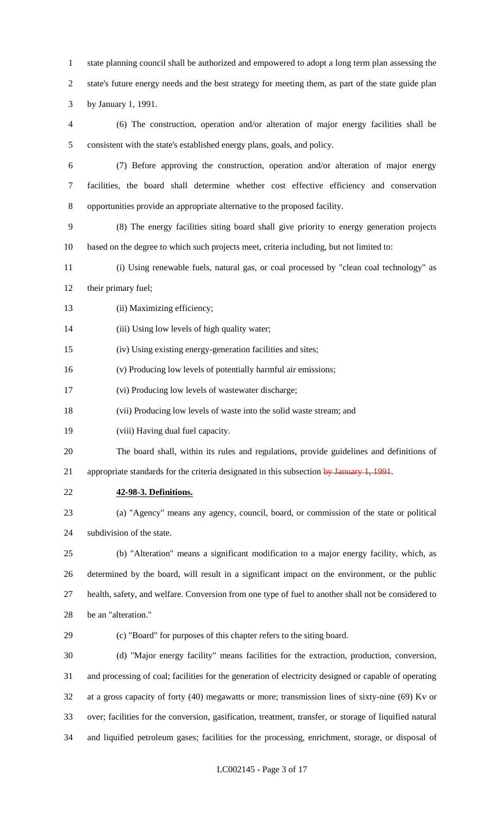state planning council shall be authorized and empowered to adopt a long term plan assessing the state's future energy needs and the best strategy for meeting them, as part of the state guide plan by January 1, 1991.

 (6) The construction, operation and/or alteration of major energy facilities shall be consistent with the state's established energy plans, goals, and policy.

- (7) Before approving the construction, operation and/or alteration of major energy facilities, the board shall determine whether cost effective efficiency and conservation opportunities provide an appropriate alternative to the proposed facility.
- (8) The energy facilities siting board shall give priority to energy generation projects based on the degree to which such projects meet, criteria including, but not limited to:
- (i) Using renewable fuels, natural gas, or coal processed by "clean coal technology" as 12 their primary fuel;
- 13 (ii) Maximizing efficiency;

14 (iii) Using low levels of high quality water;

- (iv) Using existing energy-generation facilities and sites;
- (v) Producing low levels of potentially harmful air emissions;
- (vi) Producing low levels of wastewater discharge;
- (vii) Producing low levels of waste into the solid waste stream; and
- (viii) Having dual fuel capacity.
- The board shall, within its rules and regulations, provide guidelines and definitions of

21 appropriate standards for the criteria designated in this subsection by January 1, 1991.

- **42-98-3. Definitions.**
- (a) "Agency" means any agency, council, board, or commission of the state or political subdivision of the state.

 (b) "Alteration" means a significant modification to a major energy facility, which, as determined by the board, will result in a significant impact on the environment, or the public health, safety, and welfare. Conversion from one type of fuel to another shall not be considered to be an "alteration."

## (c) "Board" for purposes of this chapter refers to the siting board.

 (d) "Major energy facility" means facilities for the extraction, production, conversion, and processing of coal; facilities for the generation of electricity designed or capable of operating at a gross capacity of forty (40) megawatts or more; transmission lines of sixty-nine (69) Kv or over; facilities for the conversion, gasification, treatment, transfer, or storage of liquified natural and liquified petroleum gases; facilities for the processing, enrichment, storage, or disposal of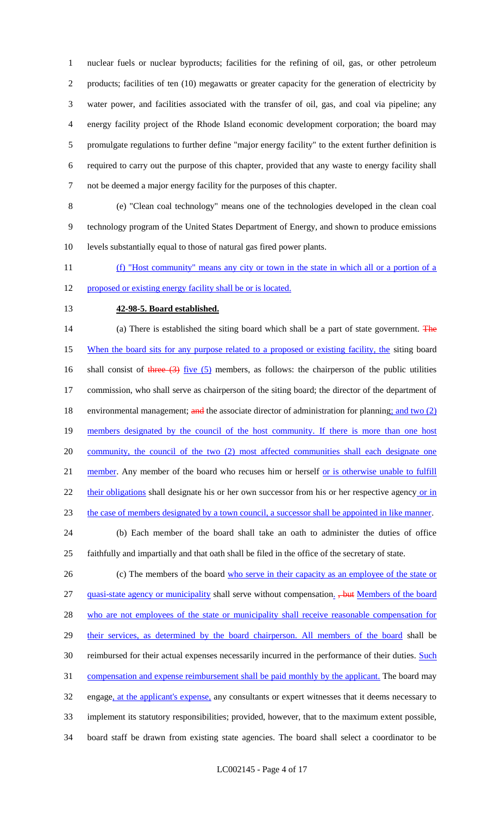nuclear fuels or nuclear byproducts; facilities for the refining of oil, gas, or other petroleum products; facilities of ten (10) megawatts or greater capacity for the generation of electricity by water power, and facilities associated with the transfer of oil, gas, and coal via pipeline; any energy facility project of the Rhode Island economic development corporation; the board may promulgate regulations to further define "major energy facility" to the extent further definition is required to carry out the purpose of this chapter, provided that any waste to energy facility shall not be deemed a major energy facility for the purposes of this chapter.

8 (e) "Clean coal technology" means one of the technologies developed in the clean coal 9 technology program of the United States Department of Energy, and shown to produce emissions 10 levels substantially equal to those of natural gas fired power plants.

11 (f) "Host community" means any city or town in the state in which all or a portion of a

12 proposed or existing energy facility shall be or is located.

## 13 **42-98-5. Board established.**

14 (a) There is established the siting board which shall be a part of state government. The 15 When the board sits for any purpose related to a proposed or existing facility, the siting board 16 shall consist of three  $(3)$  five  $(5)$  members, as follows: the chairperson of the public utilities 17 commission, who shall serve as chairperson of the siting board; the director of the department of 18 environmental management; and the associate director of administration for planning; and two (2) 19 members designated by the council of the host community. If there is more than one host 20 community, the council of the two (2) most affected communities shall each designate one 21 member. Any member of the board who recuses him or herself or is otherwise unable to fulfill 22 their obligations shall designate his or her own successor from his or her respective agency or in 23 the case of members designated by a town council, a successor shall be appointed in like manner.

24 (b) Each member of the board shall take an oath to administer the duties of office 25 faithfully and impartially and that oath shall be filed in the office of the secretary of state.

26 (c) The members of the board who serve in their capacity as an employee of the state or 27 quasi-state agency or municipality shall serve without compensation. <del>but</del> Members of the board 28 who are not employees of the state or municipality shall receive reasonable compensation for 29 their services, as determined by the board chairperson. All members of the board shall be 30 reimbursed for their actual expenses necessarily incurred in the performance of their duties. Such 31 compensation and expense reimbursement shall be paid monthly by the applicant. The board may 32 engage, at the applicant's expense, any consultants or expert witnesses that it deems necessary to 33 implement its statutory responsibilities; provided, however, that to the maximum extent possible, 34 board staff be drawn from existing state agencies. The board shall select a coordinator to be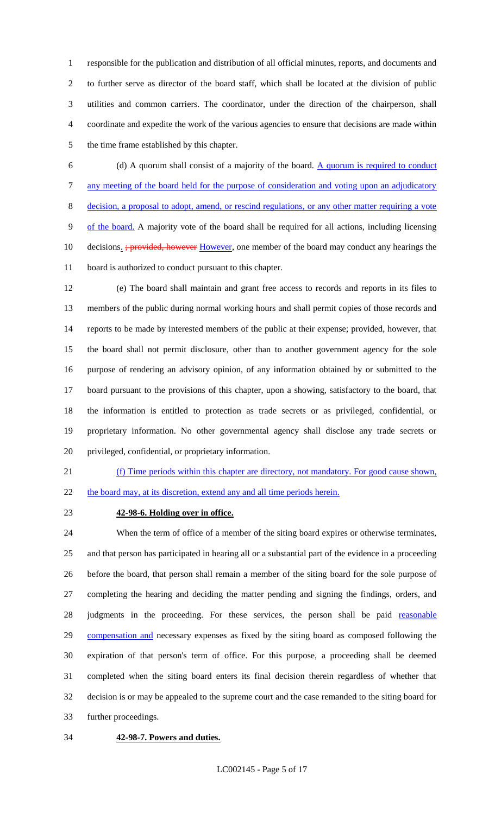responsible for the publication and distribution of all official minutes, reports, and documents and to further serve as director of the board staff, which shall be located at the division of public utilities and common carriers. The coordinator, under the direction of the chairperson, shall coordinate and expedite the work of the various agencies to ensure that decisions are made within the time frame established by this chapter.

 (d) A quorum shall consist of a majority of the board. A quorum is required to conduct any meeting of the board held for the purpose of consideration and voting upon an adjudicatory decision, a proposal to adopt, amend, or rescind regulations, or any other matter requiring a vote of the board. A majority vote of the board shall be required for all actions, including licensing 10 decisions. *; provided, however However*, one member of the board may conduct any hearings the board is authorized to conduct pursuant to this chapter.

 (e) The board shall maintain and grant free access to records and reports in its files to members of the public during normal working hours and shall permit copies of those records and reports to be made by interested members of the public at their expense; provided, however, that the board shall not permit disclosure, other than to another government agency for the sole purpose of rendering an advisory opinion, of any information obtained by or submitted to the board pursuant to the provisions of this chapter, upon a showing, satisfactory to the board, that the information is entitled to protection as trade secrets or as privileged, confidential, or proprietary information. No other governmental agency shall disclose any trade secrets or privileged, confidential, or proprietary information.

 (f) Time periods within this chapter are directory, not mandatory. For good cause shown, 22 the board may, at its discretion, extend any and all time periods herein.

## **42-98-6. Holding over in office.**

 When the term of office of a member of the siting board expires or otherwise terminates, and that person has participated in hearing all or a substantial part of the evidence in a proceeding before the board, that person shall remain a member of the siting board for the sole purpose of completing the hearing and deciding the matter pending and signing the findings, orders, and 28 judgments in the proceeding. For these services, the person shall be paid reasonable 29 compensation and necessary expenses as fixed by the siting board as composed following the expiration of that person's term of office. For this purpose, a proceeding shall be deemed completed when the siting board enters its final decision therein regardless of whether that decision is or may be appealed to the supreme court and the case remanded to the siting board for further proceedings.

#### **42-98-7. Powers and duties.**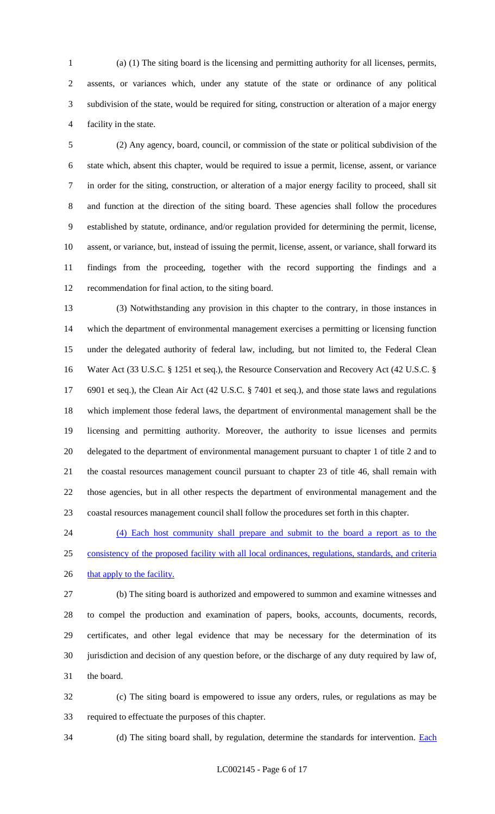(a) (1) The siting board is the licensing and permitting authority for all licenses, permits, assents, or variances which, under any statute of the state or ordinance of any political subdivision of the state, would be required for siting, construction or alteration of a major energy facility in the state.

 (2) Any agency, board, council, or commission of the state or political subdivision of the state which, absent this chapter, would be required to issue a permit, license, assent, or variance in order for the siting, construction, or alteration of a major energy facility to proceed, shall sit and function at the direction of the siting board. These agencies shall follow the procedures established by statute, ordinance, and/or regulation provided for determining the permit, license, assent, or variance, but, instead of issuing the permit, license, assent, or variance, shall forward its findings from the proceeding, together with the record supporting the findings and a recommendation for final action, to the siting board.

 (3) Notwithstanding any provision in this chapter to the contrary, in those instances in which the department of environmental management exercises a permitting or licensing function under the delegated authority of federal law, including, but not limited to, the Federal Clean Water Act (33 U.S.C. § 1251 et seq.), the Resource Conservation and Recovery Act (42 U.S.C. § 6901 et seq.), the Clean Air Act (42 U.S.C. § 7401 et seq.), and those state laws and regulations which implement those federal laws, the department of environmental management shall be the licensing and permitting authority. Moreover, the authority to issue licenses and permits delegated to the department of environmental management pursuant to chapter 1 of title 2 and to the coastal resources management council pursuant to chapter 23 of title 46, shall remain with those agencies, but in all other respects the department of environmental management and the coastal resources management council shall follow the procedures set forth in this chapter.

 (4) Each host community shall prepare and submit to the board a report as to the consistency of the proposed facility with all local ordinances, regulations, standards, and criteria 26 that apply to the facility.

 (b) The siting board is authorized and empowered to summon and examine witnesses and to compel the production and examination of papers, books, accounts, documents, records, certificates, and other legal evidence that may be necessary for the determination of its jurisdiction and decision of any question before, or the discharge of any duty required by law of, the board.

 (c) The siting board is empowered to issue any orders, rules, or regulations as may be required to effectuate the purposes of this chapter.

34 (d) The siting board shall, by regulation, determine the standards for intervention. Each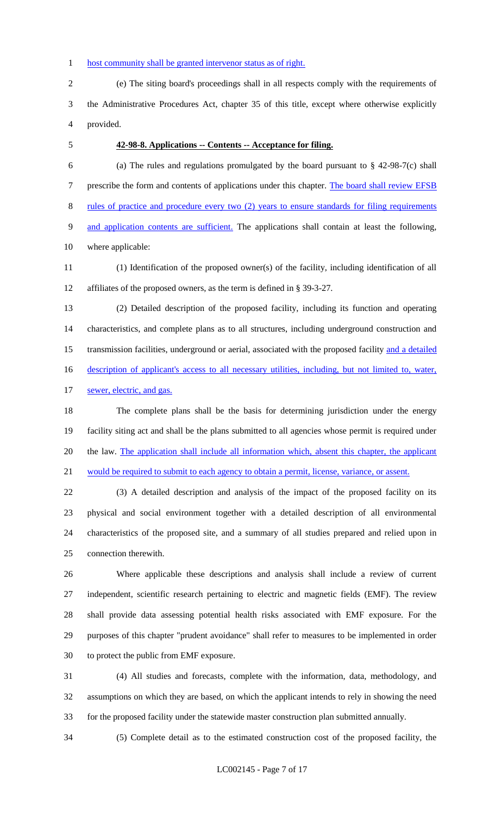#### 1 host community shall be granted intervenor status as of right.

 (e) The siting board's proceedings shall in all respects comply with the requirements of the Administrative Procedures Act, chapter 35 of this title, except where otherwise explicitly provided.

#### **42-98-8. Applications -- Contents -- Acceptance for filing.**

6 (a) The rules and regulations promulgated by the board pursuant to  $\S$  42-98-7(c) shall 7 prescribe the form and contents of applications under this chapter. The board shall review EFSB rules of practice and procedure every two (2) years to ensure standards for filing requirements and application contents are sufficient. The applications shall contain at least the following, where applicable:

 (1) Identification of the proposed owner(s) of the facility, including identification of all affiliates of the proposed owners, as the term is defined in § 39-3-27.

 (2) Detailed description of the proposed facility, including its function and operating characteristics, and complete plans as to all structures, including underground construction and 15 transmission facilities, underground or aerial, associated with the proposed facility and a detailed 16 description of applicant's access to all necessary utilities, including, but not limited to, water, sewer, electric, and gas.

 The complete plans shall be the basis for determining jurisdiction under the energy facility siting act and shall be the plans submitted to all agencies whose permit is required under 20 the law. The application shall include all information which, absent this chapter, the applicant would be required to submit to each agency to obtain a permit, license, variance, or assent.

 (3) A detailed description and analysis of the impact of the proposed facility on its physical and social environment together with a detailed description of all environmental characteristics of the proposed site, and a summary of all studies prepared and relied upon in connection therewith.

 Where applicable these descriptions and analysis shall include a review of current independent, scientific research pertaining to electric and magnetic fields (EMF). The review shall provide data assessing potential health risks associated with EMF exposure. For the purposes of this chapter "prudent avoidance" shall refer to measures to be implemented in order to protect the public from EMF exposure.

 (4) All studies and forecasts, complete with the information, data, methodology, and assumptions on which they are based, on which the applicant intends to rely in showing the need for the proposed facility under the statewide master construction plan submitted annually.

(5) Complete detail as to the estimated construction cost of the proposed facility, the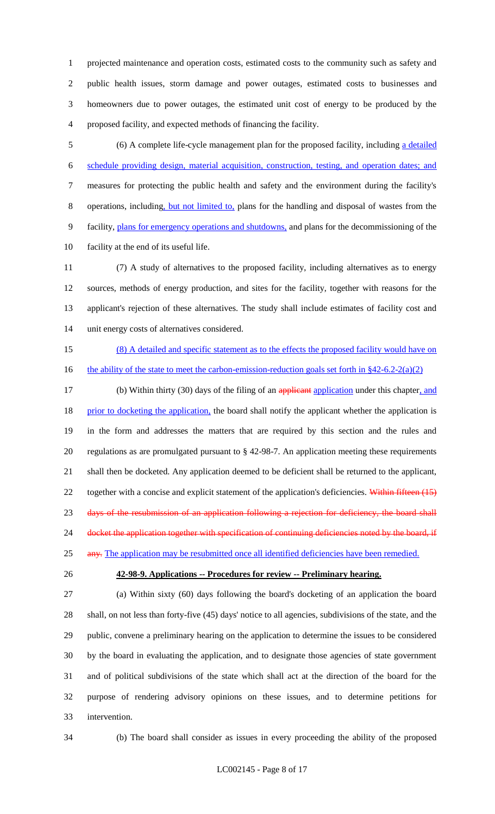projected maintenance and operation costs, estimated costs to the community such as safety and public health issues, storm damage and power outages, estimated costs to businesses and homeowners due to power outages, the estimated unit cost of energy to be produced by the proposed facility, and expected methods of financing the facility.

 (6) A complete life-cycle management plan for the proposed facility, including a detailed schedule providing design, material acquisition, construction, testing, and operation dates; and measures for protecting the public health and safety and the environment during the facility's operations, including, but not limited to, plans for the handling and disposal of wastes from the facility, plans for emergency operations and shutdowns, and plans for the decommissioning of the facility at the end of its useful life.

 (7) A study of alternatives to the proposed facility, including alternatives as to energy sources, methods of energy production, and sites for the facility, together with reasons for the applicant's rejection of these alternatives. The study shall include estimates of facility cost and unit energy costs of alternatives considered.

 (8) A detailed and specific statement as to the effects the proposed facility would have on 16 the ability of the state to meet the carbon-emission-reduction goals set forth in §42-6.2-2(a)(2)

17 (b) Within thirty (30) days of the filing of an applicant application under this chapter, and 18 prior to docketing the application, the board shall notify the applicant whether the application is in the form and addresses the matters that are required by this section and the rules and regulations as are promulgated pursuant to § 42-98-7. An application meeting these requirements shall then be docketed. Any application deemed to be deficient shall be returned to the applicant, 22 together with a concise and explicit statement of the application's deficiencies. Within fifteen (15) 23 days of the resubmission of an application following a rejection for deficiency, the board shall 24 docket the application together with specification of continuing deficiencies noted by the board, if

25 any. The application may be resubmitted once all identified deficiencies have been remedied.

#### **42-98-9. Applications -- Procedures for review -- Preliminary hearing.**

 (a) Within sixty (60) days following the board's docketing of an application the board shall, on not less than forty-five (45) days' notice to all agencies, subdivisions of the state, and the public, convene a preliminary hearing on the application to determine the issues to be considered by the board in evaluating the application, and to designate those agencies of state government and of political subdivisions of the state which shall act at the direction of the board for the purpose of rendering advisory opinions on these issues, and to determine petitions for intervention.

(b) The board shall consider as issues in every proceeding the ability of the proposed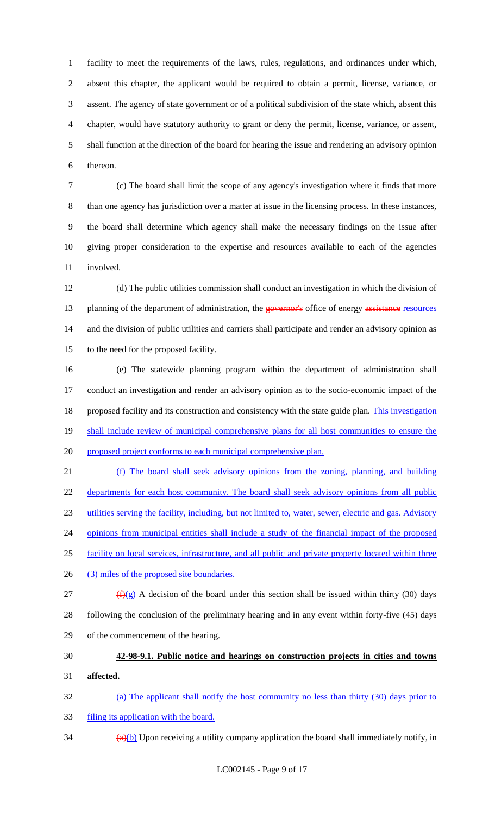facility to meet the requirements of the laws, rules, regulations, and ordinances under which, absent this chapter, the applicant would be required to obtain a permit, license, variance, or assent. The agency of state government or of a political subdivision of the state which, absent this chapter, would have statutory authority to grant or deny the permit, license, variance, or assent, shall function at the direction of the board for hearing the issue and rendering an advisory opinion thereon.

 (c) The board shall limit the scope of any agency's investigation where it finds that more than one agency has jurisdiction over a matter at issue in the licensing process. In these instances, the board shall determine which agency shall make the necessary findings on the issue after giving proper consideration to the expertise and resources available to each of the agencies involved.

 (d) The public utilities commission shall conduct an investigation in which the division of 13 planning of the department of administration, the governor's office of energy assistance resources and the division of public utilities and carriers shall participate and render an advisory opinion as to the need for the proposed facility.

 (e) The statewide planning program within the department of administration shall conduct an investigation and render an advisory opinion as to the socio-economic impact of the 18 proposed facility and its construction and consistency with the state guide plan. This investigation 19 shall include review of municipal comprehensive plans for all host communities to ensure the 20 proposed project conforms to each municipal comprehensive plan.

 (f) The board shall seek advisory opinions from the zoning, planning, and building 22 departments for each host community. The board shall seek advisory opinions from all public utilities serving the facility, including, but not limited to, water, sewer, electric and gas. Advisory opinions from municipal entities shall include a study of the financial impact of the proposed facility on local services, infrastructure, and all public and private property located within three 26 (3) miles of the proposed site boundaries. 27 ( $f(x)$ ) A decision of the board under this section shall be issued within thirty (30) days

 following the conclusion of the preliminary hearing and in any event within forty-five (45) days of the commencement of the hearing.

## **42-98-9.1. Public notice and hearings on construction projects in cities and towns**

**affected.**

(a) The applicant shall notify the host community no less than thirty (30) days prior to

- filing its application with the board.
- $\frac{34}{(a)(b)}$  Upon receiving a utility company application the board shall immediately notify, in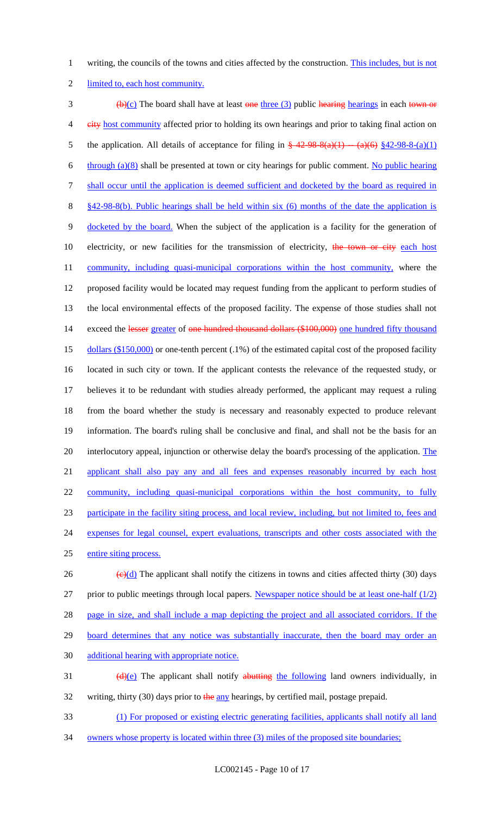1 writing, the councils of the towns and cities affected by the construction. This includes, but is not

2 limited to, each host community.

 $\frac{1}{2}$  (b)(c) The board shall have at least one three (3) public hearing hearings in each town or 4 eity host community affected prior to holding its own hearings and prior to taking final action on 5 the application. All details of acceptance for filing in  $\frac{242-98-8(a)(1)-(a)(6)}{842-98-8(a)(1)}$ 6 through  $(a)(8)$  shall be presented at town or city hearings for public comment. No public hearing 7 shall occur until the application is deemed sufficient and docketed by the board as required in 8 §42-98-8(b). Public hearings shall be held within six (6) months of the date the application is 9 docketed by the board. When the subject of the application is a facility for the generation of 10 electricity, or new facilities for the transmission of electricity, the town or city each host 11 community, including quasi-municipal corporations within the host community, where the 12 proposed facility would be located may request funding from the applicant to perform studies of 13 the local environmental effects of the proposed facility. The expense of those studies shall not 14 exceed the lesser greater of one hundred thousand dollars (\$100,000) one hundred fifty thousand 15 dollars (\$150,000) or one-tenth percent (.1%) of the estimated capital cost of the proposed facility 16 located in such city or town. If the applicant contests the relevance of the requested study, or 17 believes it to be redundant with studies already performed, the applicant may request a ruling 18 from the board whether the study is necessary and reasonably expected to produce relevant 19 information. The board's ruling shall be conclusive and final, and shall not be the basis for an 20 interlocutory appeal, injunction or otherwise delay the board's processing of the application. The 21 applicant shall also pay any and all fees and expenses reasonably incurred by each host 22 community, including quasi-municipal corporations within the host community, to fully 23 participate in the facility siting process, and local review, including, but not limited to, fees and 24 expenses for legal counsel, expert evaluations, transcripts and other costs associated with the 25 entire siting process. 26  $\left(\frac{e}{d}\right)$  The applicant shall notify the citizens in towns and cities affected thirty (30) days 27 prior to public meetings through local papers. Newspaper notice should be at least one-half (1/2) 28 page in size, and shall include a map depicting the project and all associated corridors. If the

29 board determines that any notice was substantially inaccurate, then the board may order an

30 additional hearing with appropriate notice.

31  $(d)(e)$  The applicant shall notify abutting the following land owners individually, in 32 writing, thirty (30) days prior to the any hearings, by certified mail, postage prepaid.

33 (1) For proposed or existing electric generating facilities, applicants shall notify all land

34 owners whose property is located within three (3) miles of the proposed site boundaries;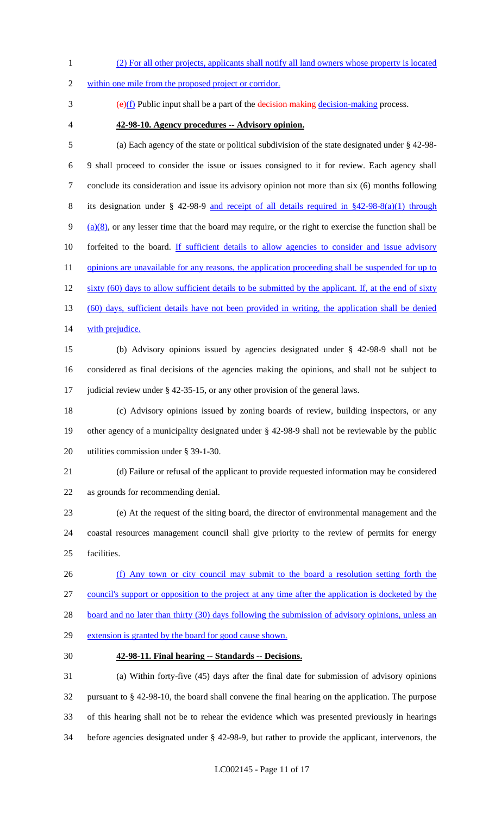(2) For all other projects, applicants shall notify all land owners whose property is located

within one mile from the proposed project or corridor.

 $\frac{1}{2}$  (e)(f) Public input shall be a part of the decision making decision-making process.

**42-98-10. Agency procedures -- Advisory opinion.**

 (a) Each agency of the state or political subdivision of the state designated under § 42-98- 9 shall proceed to consider the issue or issues consigned to it for review. Each agency shall conclude its consideration and issue its advisory opinion not more than six (6) months following its designation under § 42-98-9 and receipt of all details required in §42-98-8(a)(1) through 9 (a) $(8)$ , or any lesser time that the board may require, or the right to exercise the function shall be 10 forfeited to the board. If sufficient details to allow agencies to consider and issue advisory 11 opinions are unavailable for any reasons, the application proceeding shall be suspended for up to 12 sixty (60) days to allow sufficient details to be submitted by the applicant. If, at the end of sixty (60) days, sufficient details have not been provided in writing, the application shall be denied 14 with prejudice.

 (b) Advisory opinions issued by agencies designated under § 42-98-9 shall not be considered as final decisions of the agencies making the opinions, and shall not be subject to judicial review under § 42-35-15, or any other provision of the general laws.

 (c) Advisory opinions issued by zoning boards of review, building inspectors, or any other agency of a municipality designated under § 42-98-9 shall not be reviewable by the public utilities commission under § 39-1-30.

 (d) Failure or refusal of the applicant to provide requested information may be considered as grounds for recommending denial.

 (e) At the request of the siting board, the director of environmental management and the coastal resources management council shall give priority to the review of permits for energy facilities.

 (f) Any town or city council may submit to the board a resolution setting forth the council's support or opposition to the project at any time after the application is docketed by the 28 board and no later than thirty (30) days following the submission of advisory opinions, unless an extension is granted by the board for good cause shown.

#### **42-98-11. Final hearing -- Standards -- Decisions.**

 (a) Within forty-five (45) days after the final date for submission of advisory opinions pursuant to § 42-98-10, the board shall convene the final hearing on the application. The purpose of this hearing shall not be to rehear the evidence which was presented previously in hearings before agencies designated under § 42-98-9, but rather to provide the applicant, intervenors, the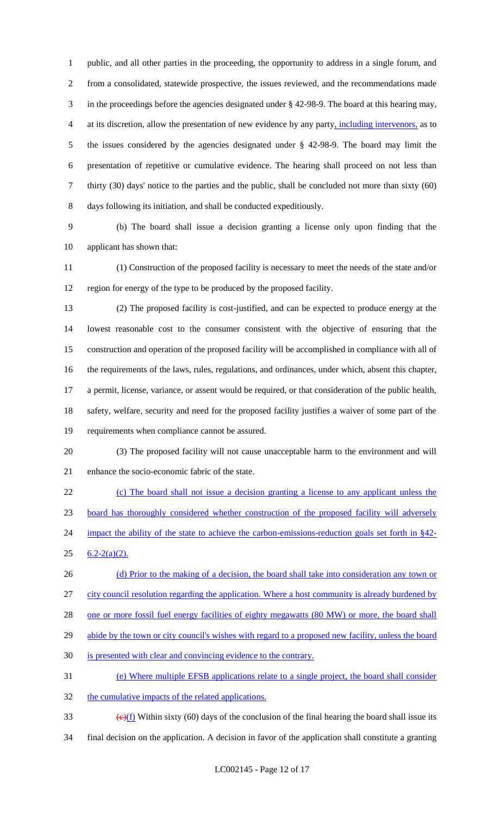public, and all other parties in the proceeding, the opportunity to address in a single forum, and from a consolidated, statewide prospective, the issues reviewed, and the recommendations made in the proceedings before the agencies designated under § 42-98-9. The board at this hearing may, at its discretion, allow the presentation of new evidence by any party, including intervenors, as to the issues considered by the agencies designated under § 42-98-9. The board may limit the presentation of repetitive or cumulative evidence. The hearing shall proceed on not less than thirty (30) days' notice to the parties and the public, shall be concluded not more than sixty (60) days following its initiation, and shall be conducted expeditiously.

 (b) The board shall issue a decision granting a license only upon finding that the applicant has shown that:

 (1) Construction of the proposed facility is necessary to meet the needs of the state and/or region for energy of the type to be produced by the proposed facility.

- (2) The proposed facility is cost-justified, and can be expected to produce energy at the lowest reasonable cost to the consumer consistent with the objective of ensuring that the construction and operation of the proposed facility will be accomplished in compliance with all of the requirements of the laws, rules, regulations, and ordinances, under which, absent this chapter, a permit, license, variance, or assent would be required, or that consideration of the public health, safety, welfare, security and need for the proposed facility justifies a waiver of some part of the requirements when compliance cannot be assured.
- (3) The proposed facility will not cause unacceptable harm to the environment and will enhance the socio-economic fabric of the state.
- (c) The board shall not issue a decision granting a license to any applicant unless the board has thoroughly considered whether construction of the proposed facility will adversely 24 impact the ability of the state to achieve the carbon-emissions-reduction goals set forth in §42- $25 \quad 6.2 - 2(a)(2)$ .
- 26 (d) Prior to the making of a decision, the board shall take into consideration any town or city council resolution regarding the application. Where a host community is already burdened by 28 one or more fossil fuel energy facilities of eighty megawatts (80 MW) or more, the board shall
- 29 abide by the town or city council's wishes with regard to a proposed new facility, unless the board
- is presented with clear and convincing evidence to the contrary.
- (e) Where multiple EFSB applications relate to a single project, the board shall consider
- 32 the cumulative impacts of the related applications.
- 33  $\left(\frac{e}{f}\right)$  Within sixty (60) days of the conclusion of the final hearing the board shall issue its final decision on the application. A decision in favor of the application shall constitute a granting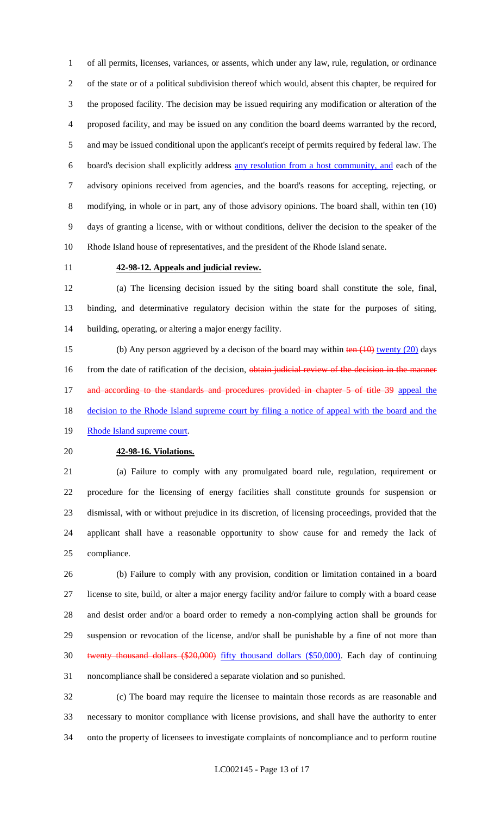of all permits, licenses, variances, or assents, which under any law, rule, regulation, or ordinance of the state or of a political subdivision thereof which would, absent this chapter, be required for the proposed facility. The decision may be issued requiring any modification or alteration of the proposed facility, and may be issued on any condition the board deems warranted by the record, and may be issued conditional upon the applicant's receipt of permits required by federal law. The board's decision shall explicitly address any resolution from a host community, and each of the advisory opinions received from agencies, and the board's reasons for accepting, rejecting, or modifying, in whole or in part, any of those advisory opinions. The board shall, within ten (10) days of granting a license, with or without conditions, deliver the decision to the speaker of the Rhode Island house of representatives, and the president of the Rhode Island senate.

#### **42-98-12. Appeals and judicial review.**

 (a) The licensing decision issued by the siting board shall constitute the sole, final, binding, and determinative regulatory decision within the state for the purposes of siting, building, operating, or altering a major energy facility.

15 (b) Any person aggrieved by a decison of the board may within ten (10) twenty (20) days 16 from the date of ratification of the decision, obtain judicial review of the decision in the manner 17 and according to the standards and procedures provided in chapter 5 of title 39 appeal the 18 decision to the Rhode Island supreme court by filing a notice of appeal with the board and the 19 Rhode Island supreme court.

#### **42-98-16. Violations.**

 (a) Failure to comply with any promulgated board rule, regulation, requirement or procedure for the licensing of energy facilities shall constitute grounds for suspension or dismissal, with or without prejudice in its discretion, of licensing proceedings, provided that the applicant shall have a reasonable opportunity to show cause for and remedy the lack of compliance.

 (b) Failure to comply with any provision, condition or limitation contained in a board license to site, build, or alter a major energy facility and/or failure to comply with a board cease and desist order and/or a board order to remedy a non-complying action shall be grounds for suspension or revocation of the license, and/or shall be punishable by a fine of not more than twenty thousand dollars (\$20,000) fifty thousand dollars (\$50,000). Each day of continuing noncompliance shall be considered a separate violation and so punished.

 (c) The board may require the licensee to maintain those records as are reasonable and necessary to monitor compliance with license provisions, and shall have the authority to enter onto the property of licensees to investigate complaints of noncompliance and to perform routine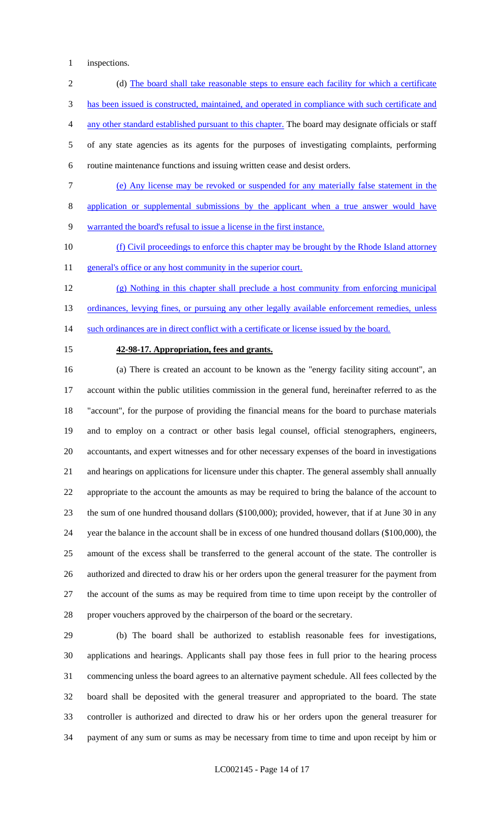inspections.

2 (d) The board shall take reasonable steps to ensure each facility for which a certificate has been issued is constructed, maintained, and operated in compliance with such certificate and any other standard established pursuant to this chapter. The board may designate officials or staff of any state agencies as its agents for the purposes of investigating complaints, performing routine maintenance functions and issuing written cease and desist orders. (e) Any license may be revoked or suspended for any materially false statement in the

application or supplemental submissions by the applicant when a true answer would have

warranted the board's refusal to issue a license in the first instance.

 (f) Civil proceedings to enforce this chapter may be brought by the Rhode Island attorney 11 general's office or any host community in the superior court.

 (g) Nothing in this chapter shall preclude a host community from enforcing municipal 13 ordinances, levying fines, or pursuing any other legally available enforcement remedies, unless 14 such ordinances are in direct conflict with a certificate or license issued by the board.

#### **42-98-17. Appropriation, fees and grants.**

 (a) There is created an account to be known as the "energy facility siting account", an account within the public utilities commission in the general fund, hereinafter referred to as the "account", for the purpose of providing the financial means for the board to purchase materials and to employ on a contract or other basis legal counsel, official stenographers, engineers, accountants, and expert witnesses and for other necessary expenses of the board in investigations and hearings on applications for licensure under this chapter. The general assembly shall annually appropriate to the account the amounts as may be required to bring the balance of the account to the sum of one hundred thousand dollars (\$100,000); provided, however, that if at June 30 in any year the balance in the account shall be in excess of one hundred thousand dollars (\$100,000), the amount of the excess shall be transferred to the general account of the state. The controller is authorized and directed to draw his or her orders upon the general treasurer for the payment from the account of the sums as may be required from time to time upon receipt by the controller of proper vouchers approved by the chairperson of the board or the secretary.

 (b) The board shall be authorized to establish reasonable fees for investigations, applications and hearings. Applicants shall pay those fees in full prior to the hearing process commencing unless the board agrees to an alternative payment schedule. All fees collected by the board shall be deposited with the general treasurer and appropriated to the board. The state controller is authorized and directed to draw his or her orders upon the general treasurer for payment of any sum or sums as may be necessary from time to time and upon receipt by him or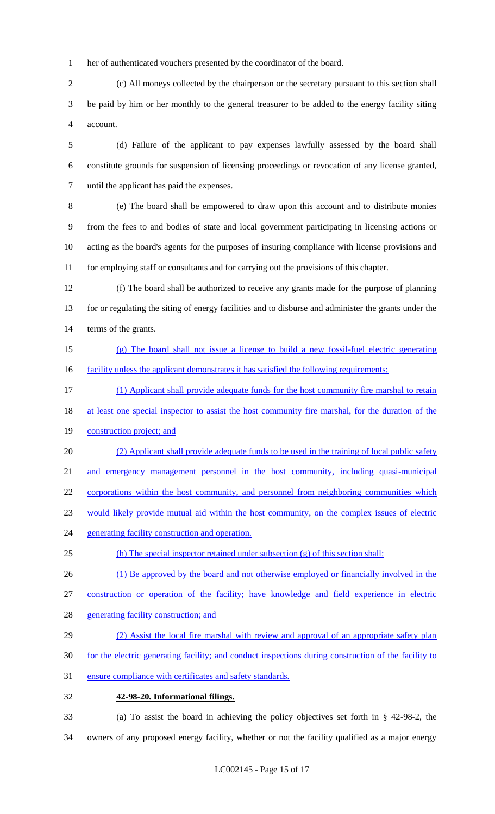her of authenticated vouchers presented by the coordinator of the board.

 (c) All moneys collected by the chairperson or the secretary pursuant to this section shall be paid by him or her monthly to the general treasurer to be added to the energy facility siting account.

 (d) Failure of the applicant to pay expenses lawfully assessed by the board shall constitute grounds for suspension of licensing proceedings or revocation of any license granted, until the applicant has paid the expenses.

 (e) The board shall be empowered to draw upon this account and to distribute monies from the fees to and bodies of state and local government participating in licensing actions or acting as the board's agents for the purposes of insuring compliance with license provisions and for employing staff or consultants and for carrying out the provisions of this chapter.

 (f) The board shall be authorized to receive any grants made for the purpose of planning for or regulating the siting of energy facilities and to disburse and administer the grants under the terms of the grants.

- (g) The board shall not issue a license to build a new fossil-fuel electric generating 16 facility unless the applicant demonstrates it has satisfied the following requirements:
- (1) Applicant shall provide adequate funds for the host community fire marshal to retain
- 18 at least one special inspector to assist the host community fire marshal, for the duration of the

19 construction project; and

(2) Applicant shall provide adequate funds to be used in the training of local public safety

and emergency management personnel in the host community, including quasi-municipal

corporations within the host community, and personnel from neighboring communities which

- would likely provide mutual aid within the host community, on the complex issues of electric
- 24 generating facility construction and operation.
- (h) The special inspector retained under subsection (g) of this section shall:
- 26 (1) Be approved by the board and not otherwise employed or financially involved in the

construction or operation of the facility; have knowledge and field experience in electric

- 28 generating facility construction; and
- 29 (2) Assist the local fire marshal with review and approval of an appropriate safety plan
- for the electric generating facility; and conduct inspections during construction of the facility to
- ensure compliance with certificates and safety standards.
- **42-98-20. Informational filings.**
- (a) To assist the board in achieving the policy objectives set forth in § 42-98-2, the owners of any proposed energy facility, whether or not the facility qualified as a major energy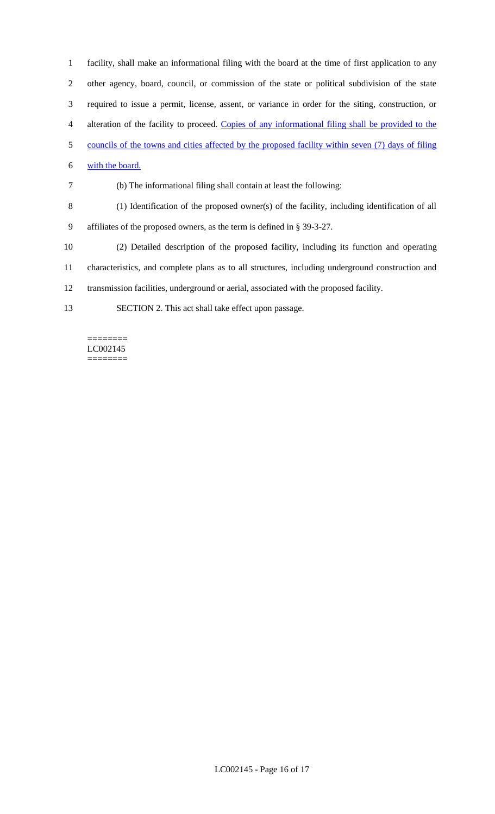facility, shall make an informational filing with the board at the time of first application to any other agency, board, council, or commission of the state or political subdivision of the state required to issue a permit, license, assent, or variance in order for the siting, construction, or alteration of the facility to proceed. Copies of any informational filing shall be provided to the councils of the towns and cities affected by the proposed facility within seven (7) days of filing with the board.

(b) The informational filing shall contain at least the following:

- (1) Identification of the proposed owner(s) of the facility, including identification of all
- affiliates of the proposed owners, as the term is defined in § 39-3-27.
- (2) Detailed description of the proposed facility, including its function and operating
- characteristics, and complete plans as to all structures, including underground construction and
- transmission facilities, underground or aerial, associated with the proposed facility.
- SECTION 2. This act shall take effect upon passage.

#### ======== LC002145 ========